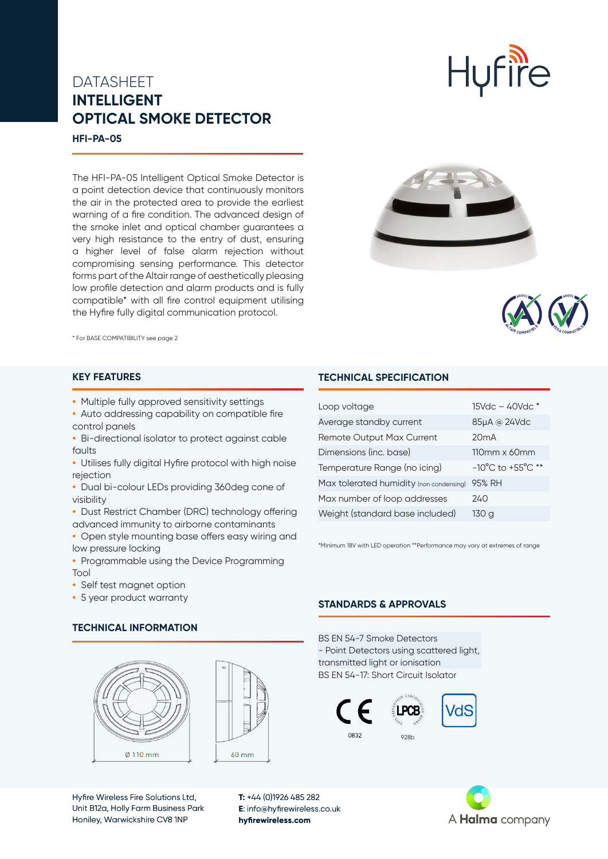# DATASHEET **INTELLIGENT OPTICAL SMOKE DETECTOR**

**HFI-PA-05**

The HFI-PA-05 Intelligent Optical Smoke Detector is a point detection device that continuously monitors the air in the protected area to provide the earliest warning of a fire condition. The advanced design of the smoke inlet and optical chamber guarantees a very high resistance to the entry of dust, ensuring a higher level of false alarm rejection without compromising sensing performance. This detector forms part of the Altair range of aesthetically pleasing low profile detection and alarm products and is fully compatible\* with all fire control equipment utilising the Hyfire fully digital communication protocol.



**Hufire** 



\* For BASE COMPATIBILITY see page 2

### **KEY FEATURES**

- **•** Multiple fully approved sensitivity settings
- **•** Auto addressing capability on compatible fire control panels
- **•** Bi-directional isolator to protect against cable faults
- **•** Utilises fully digital Hyfire protocol with high noise rejection
- **•** Dual bi-colour LEDs providing 360deg cone of visibility
- **•** Dust Restrict Chamber (DRC) technology offering advanced immunity to airborne contaminants
- **•** Open style mounting base offers easy wiring and low pressure locking
- **•** Programmable using the Device Programming Tool
- **•** Self test magnet option
- **•** 5 year product warranty

# **TECHNICAL SPECIFICATION**

| Loop voltage                            | $15Vdc - 40Vdc *$                     |
|-----------------------------------------|---------------------------------------|
| Average standby current                 | 85µA @ 24Vdc                          |
| <b>Remote Output Max Current</b>        | 20mA                                  |
| Dimensions (inc. base)                  | $110 \text{mm} \times 60 \text{mm}$   |
| Temperature Range (no icing)            | $-10^{\circ}$ C to $+55^{\circ}$ C ** |
| Max tolerated humidity (non condensing) | 95% RH                                |
| Max number of loop addresses            | 240                                   |
| Weight (standard base included)         | 130 g                                 |
|                                         |                                       |

\*Minimum 18V with LED operation \*\*Performance may vary at extremes of range

### **STANDARDS & APPROVALS**

BS EN 54-7 Smoke Detectors - Point Detectors using scattered light, transmitted light or ionisation BS EN 54-17: Short Circuit Isolator





### **TECHNICAL INFORMATION**





Hyfire Wireless Fire Solutions Ltd, Unit B12a, Holly Farm Business Park Honiley, Warwickshire CV8 1NP

**T:** +44 (0)1926 485 282 **E**: info@hyfirewireless.co.uk **hyfirewireless.com**